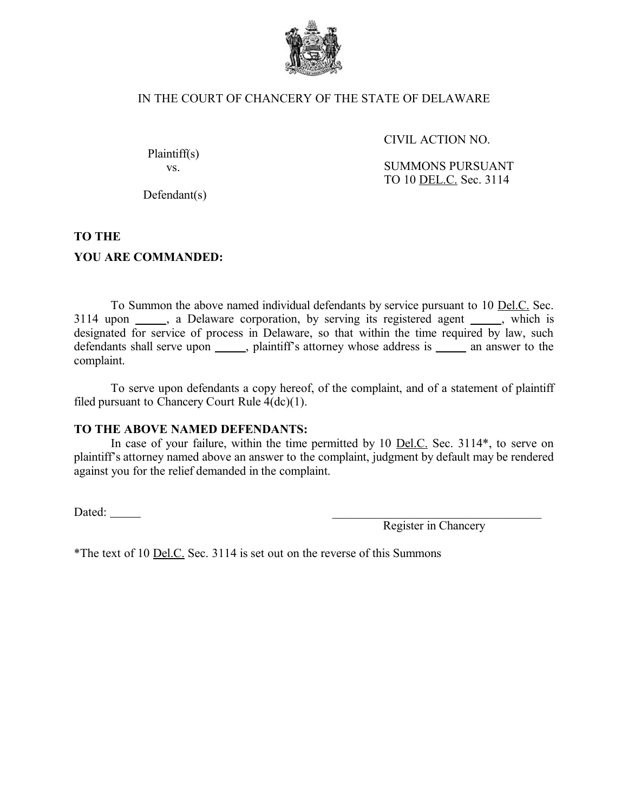

## IN THE COURT OF CHANCERY OF THE STATE OF DELAWARE

CIVIL ACTION NO.

<span id="page-0-2"></span>Plaintiff(s) vs.

<span id="page-0-0"></span>SUMMONS PURSUANT TO 10 DEL.C. Sec. 3114

Defendant(s)

## <span id="page-0-1"></span>**TO THE**

## **YOU ARE COMMANDED:**

To Summon the above named individual defendants by service pursuant to 10 Del.C. Sec. 3114 upon \_\_\_\_\_, a Delaware corporation, by serving its registered agent \_\_\_\_\_, which is designated for service of process in Delaware, so that within the time required by law, such defendants shall serve upon substitution in plaintiff's attorney whose address is seeing an answer to the complaint.

To serve upon defendants a copy hereof, of the complaint, and of a statement of plaintiff filed pursuant to Chancery Court Rule 4(dc)(1).

## **TO THE ABOVE NAMED DEFENDANTS:**

In case of your failure, within the time permitted by 10 <u>Del.C.</u> Sec. 3114\*, to serve on plaintiff's attorney named above an answer to the complaint, judgment by default may be rendered against you for the relief demanded in the complaint.

Dated:  $\_\_$ 

Register in Chancery

\*The text of 10 Del.C. Sec. 3114 is set out on the reverse of this Summons